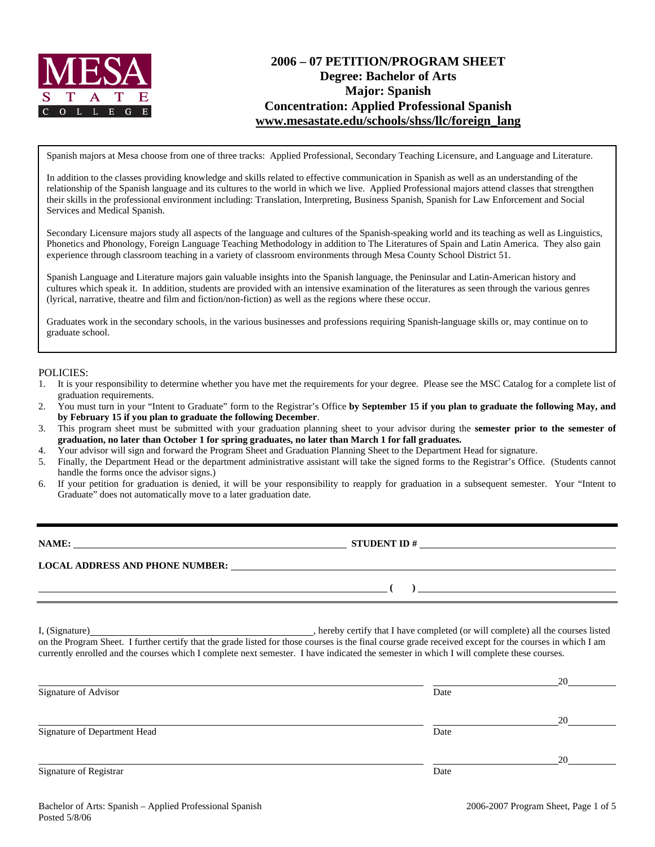

# **2006 – 07 PETITION/PROGRAM SHEET Degree: Bachelor of Arts Major: Spanish Concentration: Applied Professional Spanish www.mesastate.edu/schools/shss/llc/foreign\_lang**

Spanish majors at Mesa choose from one of three tracks: Applied Professional, Secondary Teaching Licensure, and Language and Literature.

In addition to the classes providing knowledge and skills related to effective communication in Spanish as well as an understanding of the relationship of the Spanish language and its cultures to the world in which we live. Applied Professional majors attend classes that strengthen their skills in the professional environment including: Translation, Interpreting, Business Spanish, Spanish for Law Enforcement and Social Services and Medical Spanish.

Secondary Licensure majors study all aspects of the language and cultures of the Spanish-speaking world and its teaching as well as Linguistics, Phonetics and Phonology, Foreign Language Teaching Methodology in addition to The Literatures of Spain and Latin America. They also gain experience through classroom teaching in a variety of classroom environments through Mesa County School District 51.

Spanish Language and Literature majors gain valuable insights into the Spanish language, the Peninsular and Latin-American history and cultures which speak it. In addition, students are provided with an intensive examination of the literatures as seen through the various genres (lyrical, narrative, theatre and film and fiction/non-fiction) as well as the regions where these occur.

Graduates work in the secondary schools, in the various businesses and professions requiring Spanish-language skills or, may continue on to graduate school.

#### POLICIES:

- 1. It is your responsibility to determine whether you have met the requirements for your degree. Please see the MSC Catalog for a complete list of graduation requirements.
- 2. You must turn in your "Intent to Graduate" form to the Registrar's Office **by September 15 if you plan to graduate the following May, and by February 15 if you plan to graduate the following December**.
- 3. This program sheet must be submitted with your graduation planning sheet to your advisor during the **semester prior to the semester of graduation, no later than October 1 for spring graduates, no later than March 1 for fall graduates.**
- 4. Your advisor will sign and forward the Program Sheet and Graduation Planning Sheet to the Department Head for signature.
- 5. Finally, the Department Head or the department administrative assistant will take the signed forms to the Registrar's Office. (Students cannot handle the forms once the advisor signs.)
- 6. If your petition for graduation is denied, it will be your responsibility to reapply for graduation in a subsequent semester. Your "Intent to Graduate" does not automatically move to a later graduation date.

| NAME:                                  | <b>STUDENT ID#</b> |
|----------------------------------------|--------------------|
| <b>LOCAL ADDRESS AND PHONE NUMBER:</b> |                    |
|                                        |                    |

I, (Signature) **Solution** , hereby certify that I have completed (or will complete) all the courses listed on the Program Sheet. I further certify that the grade listed for those courses is the final course grade received except for the courses in which I am currently enrolled and the courses which I complete next semester. I have indicated the semester in which I will complete these courses.

|                              |      | 20 |
|------------------------------|------|----|
| Signature of Advisor         | Date |    |
|                              |      | 20 |
| Signature of Department Head | Date |    |
|                              |      | 20 |
| Signature of Registrar       | Date |    |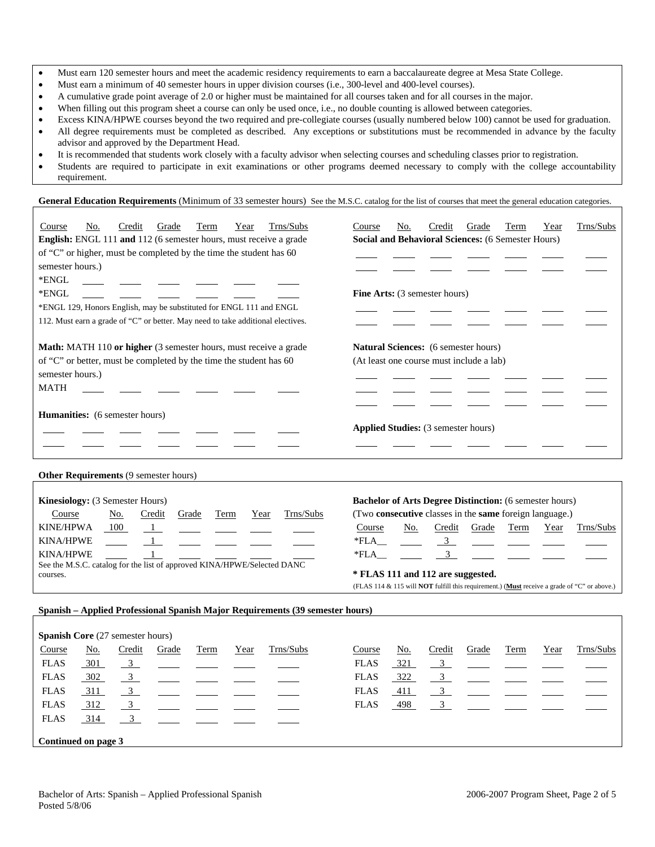- Must earn 120 semester hours and meet the academic residency requirements to earn a baccalaureate degree at Mesa State College.
- Must earn a minimum of 40 semester hours in upper division courses (i.e., 300-level and 400-level courses).
- A cumulative grade point average of 2.0 or higher must be maintained for all courses taken and for all courses in the major.
- When filling out this program sheet a course can only be used once, i.e., no double counting is allowed between categories.
- Excess KINA/HPWE courses beyond the two required and pre-collegiate courses (usually numbered below 100) cannot be used for graduation. • All degree requirements must be completed as described. Any exceptions or substitutions must be recommended in advance by the faculty advisor and approved by the Department Head.
- It is recommended that students work closely with a faculty advisor when selecting courses and scheduling classes prior to registration.
- Students are required to participate in exit examinations or other programs deemed necessary to comply with the college accountability requirement.

General Education Requirements (Minimum of 33 semester hours) See the M.S.C. catalog for the list of courses that meet the general education categories.

| Trns/Subs<br>Credit<br>Course<br>Grade<br>Term<br>No.<br>Year<br>English: ENGL 111 and 112 (6 semester hours, must receive a grade<br>of "C" or higher, must be completed by the time the student has 60<br>semester hours.)<br>*ENGL<br>*ENGL<br>*ENGL 129, Honors English, may be substituted for ENGL 111 and ENGL<br>112. Must earn a grade of "C" or better. May need to take additional electives. | Trns/Subs<br>Credit<br>Course<br>No.<br>Grade<br>Term<br>Year<br>Social and Behavioral Sciences: (6 Semester Hours)<br>Fine Arts: (3 semester hours)                                                                                                                                                                                                                              |
|----------------------------------------------------------------------------------------------------------------------------------------------------------------------------------------------------------------------------------------------------------------------------------------------------------------------------------------------------------------------------------------------------------|-----------------------------------------------------------------------------------------------------------------------------------------------------------------------------------------------------------------------------------------------------------------------------------------------------------------------------------------------------------------------------------|
| Math: MATH 110 or higher (3 semester hours, must receive a grade<br>of "C" or better, must be completed by the time the student has 60<br>semester hours.)<br><b>MATH</b>                                                                                                                                                                                                                                | Natural Sciences: (6 semester hours)<br>(At least one course must include a lab)                                                                                                                                                                                                                                                                                                  |
| <b>Humanities:</b> (6 semester hours)                                                                                                                                                                                                                                                                                                                                                                    | <b>Applied Studies:</b> (3 semester hours)                                                                                                                                                                                                                                                                                                                                        |
| Other Requirements (9 semester hours)                                                                                                                                                                                                                                                                                                                                                                    |                                                                                                                                                                                                                                                                                                                                                                                   |
| Kinesiology: (3 Semester Hours)<br>Trns/Subs<br>Course<br><u>No.</u><br>Credit<br>Grade<br>Term<br>Year<br>KINE/HPWA<br>100<br>$\mathbf{1}$<br><b>KINA/HPWE</b><br><b>KINA/HPWE</b><br>See the M.S.C. catalog for the list of approved KINA/HPWE/Selected DANC<br>courses.                                                                                                                               | <b>Bachelor of Arts Degree Distinction:</b> (6 semester hours)<br>(Two consecutive classes in the same foreign language.)<br>Course<br>Credit<br>Trns/Subs<br>No.<br>Grade<br>Term<br>Year<br>$\frac{3}{2}$<br>*FLA<br>$\mathfrak{Z}$<br>*FLA<br>* FLAS 111 and 112 are suggested.<br>(FLAS 114 & 115 will NOT fulfill this requirement.) (Must receive a grade of "C" or above.) |
| Spanish - Applied Professional Spanish Major Requirements (39 semester hours)                                                                                                                                                                                                                                                                                                                            |                                                                                                                                                                                                                                                                                                                                                                                   |
| Spanish Core (27 semester hours)<br>Credit<br>Trns/Subs<br>Course<br>No.<br>Grade<br>Term<br>Year<br><b>FLAS</b><br>301<br>$\overline{3}$<br>$\mathfrak{Z}$<br>302<br><b>FLAS</b><br>311<br>3<br><b>FLAS</b>                                                                                                                                                                                             | Trns/Subs<br>Credit<br>Term<br>Course<br>No.<br>Grade<br>Year<br><b>FLAS</b><br>321<br>$\overline{3}$<br>$\mathfrak{Z}$<br>322<br><b>FLAS</b><br><b>FLAS</b><br>411<br>3                                                                                                                                                                                                          |

FLAS 314

**Continued on page 3** 

FLAS <u>312 3 - - - - - FLAS 498 3</u>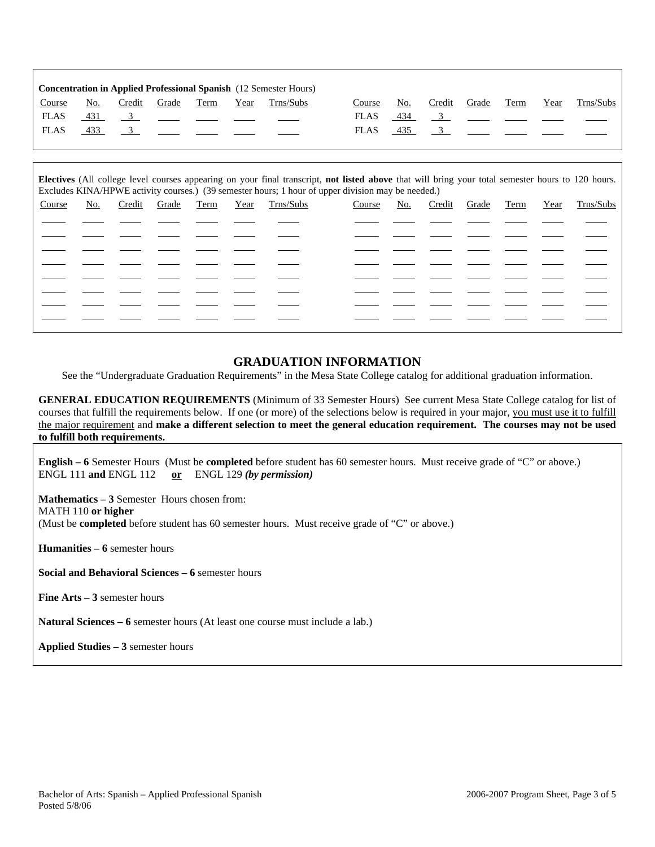|             |            |        |       |      |      | <b>Concentration in Applied Professional Spanish</b> (12 Semester Hours) |             |     |        |       |             |      |           |
|-------------|------------|--------|-------|------|------|--------------------------------------------------------------------------|-------------|-----|--------|-------|-------------|------|-----------|
| Course      | No.        | Credit | Grade | Term | Year | Trns/Subs                                                                | Course      | No. | Credit | Grade | <b>Term</b> | Year | Trns/Subs |
| <b>FLAS</b> | <u>431</u> |        |       |      |      |                                                                          | <b>FLAS</b> | 434 |        |       |             |      |           |
| <b>FLAS</b> | 433        |        |       |      |      |                                                                          | <b>FLAS</b> | 435 |        |       |             |      |           |
|             |            |        |       |      |      |                                                                          |             |     |        |       |             |      |           |

| Electives (All college level courses appearing on your final transcript, not listed above that will bring your total semester hours to 120 hours.<br>Excludes KINA/HPWE activity courses.) (39 semester hours; 1 hour of upper division may be needed.) |     |        |       |      |      |           |        |     |        |       |      |      |           |
|---------------------------------------------------------------------------------------------------------------------------------------------------------------------------------------------------------------------------------------------------------|-----|--------|-------|------|------|-----------|--------|-----|--------|-------|------|------|-----------|
| Course                                                                                                                                                                                                                                                  | No. | Credit | Grade | Term | Year | Trns/Subs | Course | No. | Credit | Grade | Term | Year | Trns/Subs |
|                                                                                                                                                                                                                                                         |     |        |       |      |      |           |        |     |        |       |      |      |           |
|                                                                                                                                                                                                                                                         |     |        |       |      |      |           |        |     |        |       |      |      |           |
|                                                                                                                                                                                                                                                         |     |        |       |      |      |           |        |     |        |       |      |      |           |
|                                                                                                                                                                                                                                                         |     |        |       |      |      |           |        |     |        |       |      |      |           |
|                                                                                                                                                                                                                                                         |     |        |       |      |      |           |        |     |        |       |      |      |           |
|                                                                                                                                                                                                                                                         |     |        |       |      |      |           |        |     |        |       |      |      |           |
|                                                                                                                                                                                                                                                         |     |        |       |      |      |           |        |     |        |       |      |      |           |
|                                                                                                                                                                                                                                                         |     |        |       |      |      |           |        |     |        |       |      |      |           |

## **GRADUATION INFORMATION**

See the "Undergraduate Graduation Requirements" in the Mesa State College catalog for additional graduation information.

**GENERAL EDUCATION REQUIREMENTS** (Minimum of 33 Semester Hours) See current Mesa State College catalog for list of courses that fulfill the requirements below. If one (or more) of the selections below is required in your major, you must use it to fulfill the major requirement and **make a different selection to meet the general education requirement. The courses may not be used to fulfill both requirements.**

**English – 6** Semester Hours (Must be **completed** before student has 60 semester hours. Must receive grade of "C" or above.) ENGL 111 **and** ENGL 112 **or** ENGL 129 *(by permission)*

**Mathematics – 3** Semester Hours chosen from: MATH 110 **or higher** (Must be **completed** before student has 60 semester hours. Must receive grade of "C" or above.)

**Humanities – 6** semester hours

**Social and Behavioral Sciences – 6** semester hours

**Fine Arts – 3** semester hours

**Natural Sciences – 6** semester hours (At least one course must include a lab.)

**Applied Studies – 3** semester hours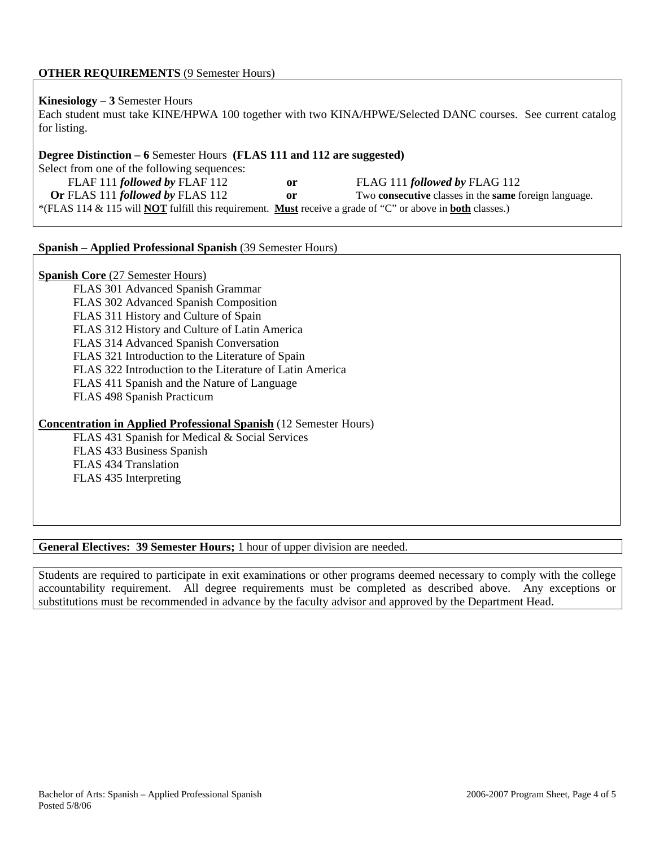# **OTHER REQUIREMENTS** (9 Semester Hours)

## **Kinesiology – 3** Semester Hours

Each student must take KINE/HPWA 100 together with two KINA/HPWE/Selected DANC courses. See current catalog for listing.

## **Degree Distinction – 6** Semester Hours **(FLAS 111 and 112 are suggested)**

Select from one of the following sequences: FLAF 111 *followed by* FLAF 112 **or** FLAG 111 *followed by* FLAG 112 **Or** FLAS 111 *followed by* FLAS 112 **or** Two **consecutive** classes in the **same** foreign language. \*(FLAS 114 & 115 will **NOT** fulfill this requirement. **Must** receive a grade of "C" or above in **both** classes.)

## **Spanish – Applied Professional Spanish** (39 Semester Hours)

## **Spanish Core** (27 Semester Hours)

FLAS 301 Advanced Spanish Grammar FLAS 302 Advanced Spanish Composition FLAS 311 History and Culture of Spain FLAS 312 History and Culture of Latin America FLAS 314 Advanced Spanish Conversation FLAS 321 Introduction to the Literature of Spain FLAS 322 Introduction to the Literature of Latin America FLAS 411 Spanish and the Nature of Language FLAS 498 Spanish Practicum

# **Concentration in Applied Professional Spanish** (12 Semester Hours)

FLAS 431 Spanish for Medical & Social Services FLAS 433 Business Spanish FLAS 434 Translation FLAS 435 Interpreting

# **General Electives: 39 Semester Hours;** 1 hour of upper division are needed.

Students are required to participate in exit examinations or other programs deemed necessary to comply with the college accountability requirement. All degree requirements must be completed as described above. Any exceptions or substitutions must be recommended in advance by the faculty advisor and approved by the Department Head.